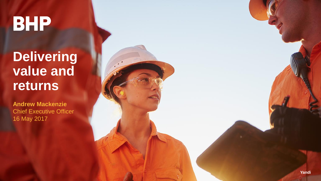**BHP** 

**Delivering value and returns**

**Andrew Mackenzie** Chief Executive Officer 16 May 2017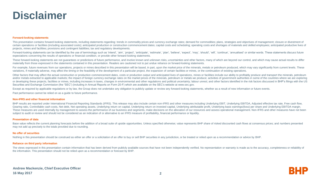# **Disclaimer**

#### **Forward-looking statements**

This presentation contains forward-looking statements, including statements regarding: trends in commodity prices and currency exchange rates; demand for commodities; plans, strategies and objectives of management; closure certain operations or facilities (including associated costs); anticipated production or construction commencement dates; capital costs and scheduling; operating costs and shortages of materials and skilled employees; anti projects, mines and facilities; provisions and contingent liabilities; tax and regulatory developments.

Forward-looking statements can be identified by the use of terminology such as 'intend', 'aim', 'project', 'anticipate', 'estimate', 'plan', 'believe', 'expect', 'may', 'should', 'will', 'continue', 'annualised' or similar expectations concerning the results of operations or financial condition, or provide other forward-looking statements.

These forward-looking statements are not guarantees or predictions of future performance, and involve known and unknown risks, uncertainties and other factors, many of which are beyond our control, and which may cause actu materially from those expressed in the statements contained in this presentation. Readers are cautioned not to put undue reliance on forward-looking statements.

For example, future revenues from our operations, projects or mines described in this presentation will be based, in part, upon the market price of the minerals, metals or petroleum produced, which may vary significantly f variations, if materially adverse, may affect the timing or the feasibility of the development of a particular project, the expansion of certain facilities or mines, or the continuation of existing operations.

Other factors that may affect the actual construction or production commencement dates, costs or production output and anticipated lives of operations, mines or facilities include our ability to profitably produce and tran and/or metals extracted to applicable markets; the impact of foreign currency exchange rates on the market prices of the minerals, petroleum or metals we produce; activities of government authorities in some of the countri or developing these projects, facilities or mines, including increases in taxes, changes in environmental and other regulations and political uncertainty; labour unrest; and other factors identified in the risk factors dis Securities and Exchange Commission (the "SEC") (including in Annual Reports on Form 20-F) which are available on the SEC's website at www.sec.gov.

Except as required by applicable requlations or by law, the Group does not undertake any obligation to publicly update or review any forward-looking statements, whether as a result of new information or future events.

Past performance cannot be relied on as a guide to future performance.

#### **Non-IFRS and other financial information**

BHP results are reported under International Financial Reporting Standards (IFRS). This release may also include certain non-IFRS and other measures including Underlying EBIT, Underlying EBITDA, Adjusted effective tax rate Gearing ratio, Controllable cash costs, Net debt, Net operating assets, Underlying return on capital, Underlying return on invested capital, Underlying attributable profit, Underlying basic earnings/(loss) per share and Un These measures are used internally by management to assess the performance of our business and segments, make decisions on the allocation of our resources and assess operational management. Non-IFRS and other measures have subject to audit or review and should not be considered as an indication of or alternative to an IFRS measure of profitability, financial performance or liquidity.

#### **Presentation of data**

Base value reflects the current planning forecasts before the addition of a broad suite of upside opportunities. Unless specified otherwise; value represents BHP share of risked discounted cash flows at consensus prices; a may not add up precisely to the totals provided due to rounding.

#### **No offer of securities**

Nothing in this presentation should be construed as either an offer or a solicitation of an offer to buy or sell BHP securities in any jurisdiction, or be treated or relied upon as a recommendation or advice by BHP.

#### **Reliance on third party information**

The views expressed in this presentation contain information that has been derived from publicly available sources that have not been independently verified. No representation or warranty is made as to the accuracy, comple the information. This presentation should not be relied upon as a recommendation or forecast by BHP.

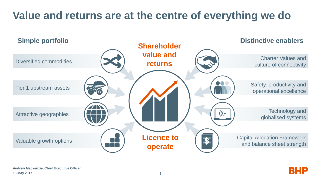# **Value and returns are at the centre of everything we do**



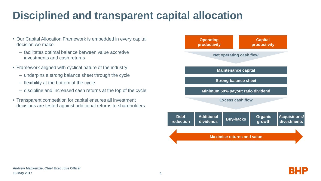# **Disciplined and transparent capital allocation**

- Our Capital Allocation Framework is embedded in every capital decision we make
	- facilitates optimal balance between value accretive investments and cash returns
- Framework aligned with cyclical nature of the industry
	- underpins a strong balance sheet through the cycle
	- flexibility at the bottom of the cycle
	- discipline and increased cash returns at the top of the cycle
- Transparent competition for capital ensures all investment decisions are tested against additional returns to shareholders



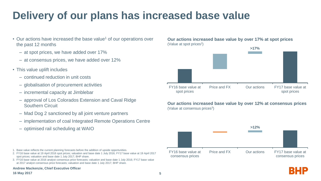# **Delivery of our plans has increased base value**

- Our actions have increased the base value<sup>1</sup> of our operations over the past 12 months
	- at spot prices, we have added over 17%
	- at consensus prices, we have added over 12%
- This value uplift includes
	- continued reduction in unit costs
	- globalisation of procurement activities
	- incremental capacity at Jimblebar
	- approval of Los Colorados Extension and Caval Ridge Southern Circuit
	- Mad Dog 2 sanctioned by all joint venture partners
	- implementation of coal Integrated Remote Operations Centre
	- optimised rail scheduling at WAIO

1. Base value reflects the current planning forecasts before the addition of upside opportunities.

- 2. FY16 base value at 19 April 2016 spot prices; valuation and base date 1 July 2016; FY17 base value at 19 April 2017 spot prices; valuation and base date 1 July 2017; BHP share.
- 3. FY16 base value at 2016 analyst consensus price forecasts; valuation and base date 1 July 2016; FY17 base value at 2017 analyst consensus price forecasts; valuation and base date 1 July 2017; BHP share.

**Andrew Mackenzie, Chief Executive Officer**

**Our actions increased base value by over 17% at spot prices** (Value at spot prices<sup>2</sup>)



**Our actions increased base value by over 12% at consensus prices** (Value at consensus prices<sup>3</sup>)



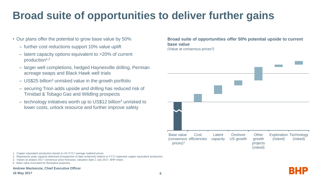# **Broad suite of opportunities to deliver further gains**

- Our plans offer the potential to grow base value by 50%
	- further cost reductions support 10% value uplift
	- latent capacity options equivalent to >20% of current production<sup>1,2</sup>
	- larger well completions, hedged Haynesville drilling, Permian acreage swaps and Black Hawk well trials
	- $-$  US\$25 billion<sup>3</sup> unrisked value in the growth portfolio
	- securing Trion adds upside and drilling has reduced risk of Trinidad & Tobago Gas and Wildling prospects
	- technology initiatives worth up to US\$12 billion<sup>3</sup> unrisked to lower costs, unlock resource and further improve safety

**Broad suite of opportunities offer 50% potential upside to current base value**

(Value at consensus prices<sup>3</sup>)



1. Copper equivalent production based on H1 FY17 average realised prices.

- 2. Represents peak capacity delivered (irrespective of date achieved) relative to FY17 expected copper equivalent production.
- 3. Values at analyst 2017 consensus price forecasts; valuation date 1 July 2017; BHP share.
- 4. Base value truncated for illustrative purposes.

**Andrew Mackenzie, Chief Executive Officer**

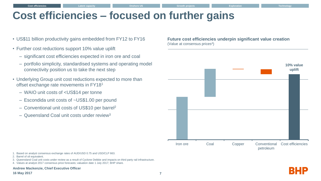## **Cost efficiencies – focused on further gains**

- US\$11 billion productivity gains embedded from FY12 to FY16
- Further cost reductions support 10% value uplift
	- significant cost efficiencies expected in iron ore and coal
	- portfolio simplicity, standardised systems and operating model connectivity position us to take the next step
- Underlying Group unit cost reductions expected to more than offset exchange rate movements in FY18<sup>1</sup>
	- WAIO unit costs of <US\$14 per tonne
	- Escondida unit costs of ~US\$1.00 per pound
	- Conventional unit costs of US\$10 per barrel<sup>2</sup>
	- Queensland Coal unit costs under review<sup>3</sup>

**Future cost efficiencies underpin significant value creation** (Value at consensus prices<sup>4</sup>)



- 1. Based on analyst consensus exchange rates of AUD/USD 0.75 and USD/CLP 663.
- 2. Barrel of oil equivalent.
- 3. Queensland Coal unit costs under review as a result of Cyclone Debbie and impacts on third party rail infrastructure.
- 4. Values at analyst 2017 consensus price forecasts; valuation date 1 July 2017; BHP share.

**Andrew Mackenzie, Chief Executive Officer**

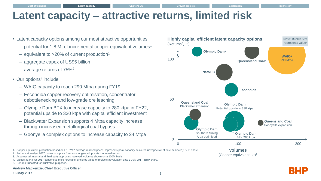## **Latent capacity – attractive returns, limited risk**

- Latent capacity options among our most attractive opportunities
	- $-$  potential for 1.8 Mt of incremental copper equivalent volumes<sup>1</sup>
	- equivalent to  $>20\%$  of current production<sup>1</sup>
	- aggregate capex of US\$5 billion
	- average returns of 75%<sup>2</sup>
- Our options<sup>3</sup> include
	- WAIO capacity to reach 290 Mtpa during FY19
	- Escondida copper recovery optimisation, concentrator debottlenecking and low-grade ore leaching
	- Olympic Dam BFX to increase capacity to 280 ktpa in FY22, potential upside to 330 ktpa with capital efficient investment
	- Blackwater Expansion supports 4 Mtpa capacity increase through increased metallurgical coal bypass
	- Goonyella complex options to increase capacity to 24 Mtpa



(Copper equivalent, kt) 1

1. Copper equivalent production based on H1 FY17 average realised prices; represents peak capacity delivered (irrespective of date achieved); BHP share.

#### **Andrew Mackenzie, Chief Executive Officer**



<sup>2.</sup> Returns at analyst 2017 consensus price forecasts; ungeared, post-tax, nominal return.

<sup>3.</sup> Assumes all internal and third party approvals received; volumes shown on a 100% basis.

<sup>4.</sup> Values at analyst 2017 consensus price forecasts; unrisked value of projects at valuation date 1 July 2017; BHP share.

<sup>5.</sup> Returns truncated for illustrative purposes.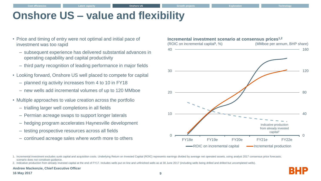## **Onshore US – value and flexibility**

- Price and timing of entry were not optimal and initial pace of investment was too rapid
	- subsequent experience has delivered substantial advances in operating capability and capital productivity
	- third party recognition of leading performance in major fields
- Looking forward, Onshore US well placed to compete for capital
	- planned rig activity increases from 4 to 10 in FY18
	- new wells add incremental volumes of up to 120 MMboe
- Multiple approaches to value creation across the portfolio
	- trialling larger well completions in all fields
	- Permian acreage swaps to support longer laterals
	- hedging program accelerates Haynesville development
	- testing prospective resources across all fields
	- continued acreage sales where worth more to others



<sup>1.</sup> Incremental investment excludes sunk capital and acquisition costs. Underlying Return on Invested Capital (ROIC) represents earnings divided by average net operated assets, using analyst 2017 consensus price forecasts; scenario does not constitute guidance.

### **Andrew Mackenzie, Chief Executive Officer**

### **16 May 2017**

<sup>2.</sup> Indicative production from already invested capital at the end of FY17. Includes wells put on line and unfinished wells as at 30 June 2017 (including wells being drilled and drilled but uncompleted wells).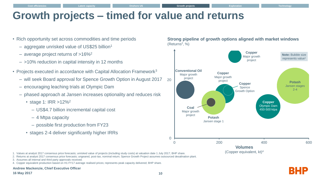## **Growth projects – timed for value and returns**

- Rich opportunity set across commodities and time periods
	- aggregate unrisked value of US\$25 billion<sup>1</sup>
	- average project returns of  $>16\%^2$
	- >10% reduction in capital intensity in 12 months
- Projects executed in accordance with Capital Allocation Framework<sup>3</sup>
	- will seek Board approval for Spence Growth Option in August 2017
	- encouraging leaching trials at Olympic Dam
	- phased approach at Jansen increases optionality and reduces risk
		- stage 1: IRR >12%<sup>2</sup>
			- US\$4.7 billion incremental capital cost
			- 4 Mtpa capacity
			- possible first production from FY23
		- stages 2-4 deliver significantly higher IRRs

**Strong pipeline of growth options aligned with market windows** (Returns<sup>2</sup> , %)



<sup>1.</sup> Values at analyst 2017 consensus price forecasts; unrisked value of projects (including study costs) at valuation date 1 July 2017; BHP share.

- 3. Assumes all internal and third party approvals received.
- 4. Copper equivalent production based on H1 FY17 average realised prices; represents peak capacity delivered; BHP share.

### **Andrew Mackenzie, Chief Executive Officer**

### **16 May 2017**

<sup>2.</sup> Returns at analyst 2017 consensus price forecasts; ungeared, post-tax, nominal return; Spence Growth Project assumes outsourced desalination plant.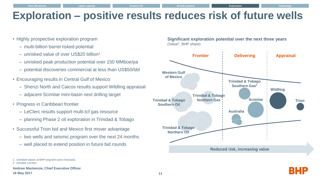## **Exploration – positive results reduces risk of future wells**

- Highly prospective exploration program
	- multi-billion barrel risked potential
	- unrisked value of over US\$20 billion<sup>1</sup>
	- unrisked peak production potential over 150 MMboe/pa
	- potential discoveries commercial at less than US\$50/bbl
- Encouraging results in Central Gulf of Mexico
	- Shenzi North and Caicos results support Wildling appraisal
	- adjacent Scimitar mini-basin next drilling target
- Progress in Caribbean frontier
	- LeClerc results support multi-tcf gas resource
	- planning Phase 2 oil exploration in Trinidad & Tobago
- Successful Trion bid and Mexico first mover advantage
	- two wells and seismic program over the next 24 months
	- well placed to extend position in future bid rounds

**Andrew Mackenzie, Chief Executive Officer**

### **Significant exploration potential over the next three years** (Value<sup>1</sup>, BHP share)





<sup>1.</sup> Unrisked values at BHP long-term price forecasts.

<sup>2.</sup> Includes LeClerc.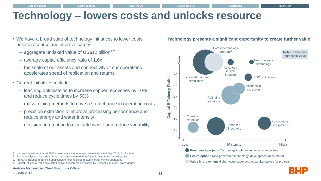## **Technology – lowers costs and unlocks resource**

- We have a broad suite of technology initiatives to lower costs, unlock resource and improve safety
	- aggregate unrisked value of US\$12 billion<sup>1,2</sup>
	- average capital efficiency ratio of 1.6x
	- the scale of our assets and connectivity of our operations accelerates speed of replication and returns
- Current initiatives include
	- leaching optimisation to increase copper recoveries by 10% and reduce cycle times by 50%
	- mass mining methods to drive a step-change in operating costs
	- precision extraction to improve processing performance and reduce energy and water intensity
	- decision automation to eliminate waste and reduce variability

- 1. Unrisked values at analyst 2017 consensus price forecasts; valuation date 1 July 2017; BHP share.
- 2. Excludes Olympic Dam Heap Leach as value embedded in Olympic Dam major growth project.
- 3. Primarily includes greenfield application of technologies tested in other mining operations.
- 4. Capital Efficiency Ratio calculated as Net Present Value divided by Present Value of Growth Capex.

#### **Andrew Mackenzie, Chief Executive Officer**

### **Technology presents a significant opportunity to create further value**



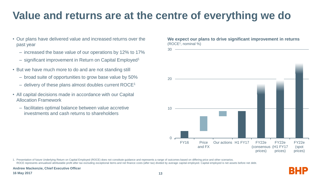# **Value and returns are at the centre of everything we do**

- Our plans have delivered value and increased returns over the past year
	- increased the base value of our operations by 12% to 17%
	- significant improvement in Return on Capital Employed<sup>1</sup>
- But we have much more to do and are not standing still
	- broad suite of opportunities to grow base value by 50%
	- delivery of these plans almost doubles current ROCE<sup>1</sup>
- All capital decisions made in accordance with our Capital Allocation Framework
	- facilitates optimal balance between value accretive investments and cash returns to shareholders

**We expect our plans to drive significant improvement in returns** (ROCE<sup>1</sup> , nominal %)



1. Presentation of future Underlying Return on Capital Employed (ROCE) does not constitute guidance and represents a range of outcomes based on differing price and other scenarios. ROCE represents annualised attributable profit after tax excluding exceptional items and net finance costs (after tax) divided by average capital employed. Capital employed is net assets before net debt.